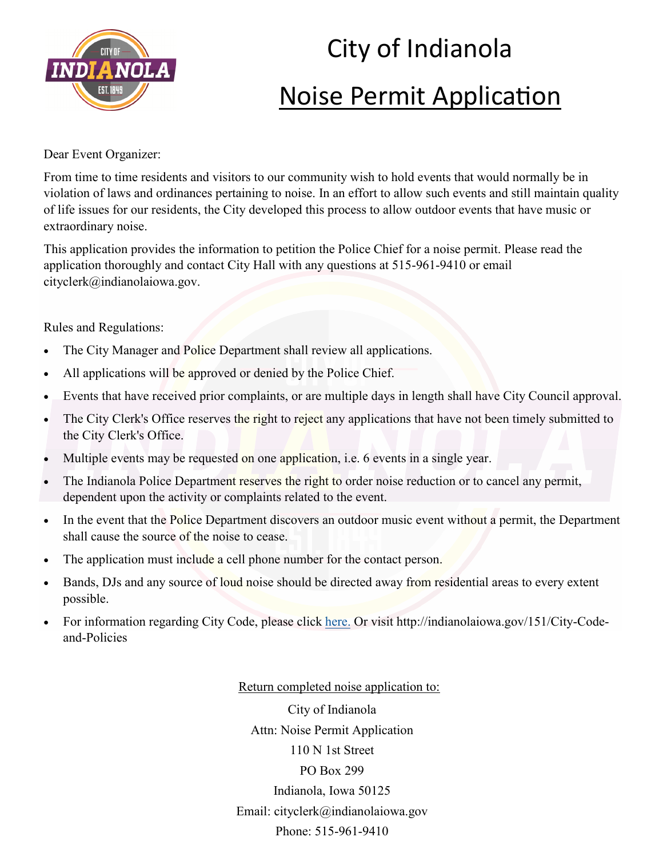

## City of Indianola Noise Permit Application

Dear Event Organizer:

From time to time residents and visitors to our community wish to hold events that would normally be in violation of laws and ordinances pertaining to noise. In an effort to allow such events and still maintain quality of life issues for our residents, the City developed this process to allow outdoor events that have music or extraordinary noise.

This application provides the information to petition the Police Chief for a noise permit. Please read the application thoroughly and contact City Hall with any questions at 515-961-9410 or email cityclerk@indianolaiowa.gov.

Rules and Regulations:

- The City Manager and Police Department shall review all applications.
- All applications will be approved or denied by the Police Chief.
- Events that have received prior complaints, or are multiple days in length shall have City Council approval.
- The City Clerk's Office reserves the right to reject any applications that have not been timely submitted to the City Clerk's Office.
- Multiple events may be requested on one application, *i.e.* 6 events in a single year.
- The Indianola Police Department reserves the right to order noise reduction or to cancel any permit, dependent upon the activity or complaints related to the event.
- In the event that the Police Department discovers an outdoor music event without a permit, the Department shall cause the source of the noise to cease.
- The application must include a cell phone number for the contact person.
- Bands, DJs and any source of loud noise should be directed away from residential areas to every extent possible.
- For information regarding City Code, please click [here.](https://codelibrary.amlegal.com/codes/indianolaia/latest/indianola_ia/0-0-0-1289) Or visit http://indianolaiowa.gov/151/City-Codeand-Policies

Return completed noise application to:

City of Indianola Attn: Noise Permit Application 110 N 1st Street PO Box 299 Indianola, Iowa 50125 Email: cityclerk@indianolaiowa.gov Phone: 515-961-9410